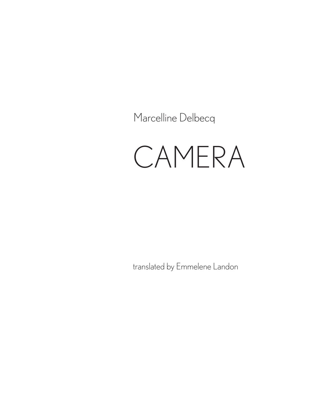Marcelline Delbecq

## CAMERA

translated by Emmelene Landon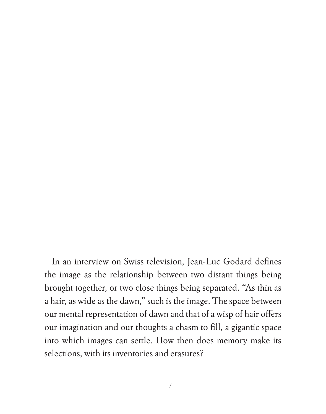In an interview on Swiss television, Jean-Luc Godard defines the image as the relationship between two distant things being brought together, or two close things being separated. "As thin as a hair, as wide as the dawn," such is the image. The space between our mental representation of dawn and that of a wisp of hair offers our imagination and our thoughts a chasm to fill, a gigantic space into which images can settle. How then does memory make its selections, with its inventories and erasures?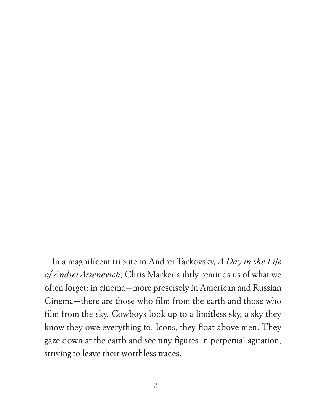In a magnificent tribute to Andrei Tarkovsky, *A Day in the Life of Andrei Arsenevich*, Chris Marker subtly reminds us of what we often forget: in cinema—more prescisely in American and Russian Cinema—there are those who film from the earth and those who film from the sky. Cowboys look up to a limitless sky, a sky they know they owe everything to. Icons, they float above men. They gaze down at the earth and see tiny figures in perpetual agitation, striving to leave their worthless traces.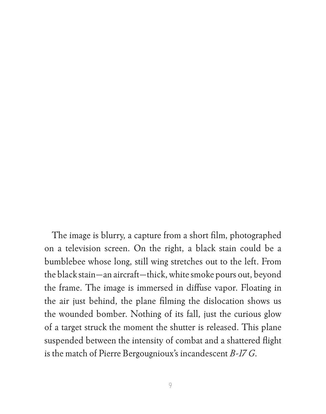The image is blurry, a capture from a short film, photographed on a television screen. On the right, a black stain could be a bumblebee whose long, still wing stretches out to the left. From the black stain—an aircraft—thick, white smoke pours out, beyond the frame. The image is immersed in diffuse vapor. Floating in the air just behind, the plane filming the dislocation shows us the wounded bomber. Nothing of its fall, just the curious glow of a target struck the moment the shutter is released. This plane suspended between the intensity of combat and a shattered flight is the match of Pierre Bergougnioux's incandescent *B-17 G*.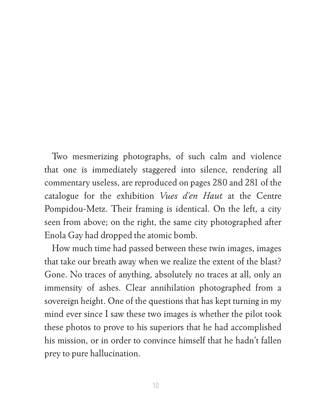Two mesmerizing photographs, of such calm and violence that one is immediately staggered into silence, rendering all commentary useless, are reproduced on pages 280 and 281 of the catalogue for the exhibition *Vues d'en Haut* at the Centre Pompidou-Metz. Their framing is identical. On the left, a city seen from above; on the right, the same city photographed after Enola Gay had dropped the atomic bomb.

How much time had passed between these twin images, images that take our breath away when we realize the extent of the blast? Gone. No traces of anything, absolutely no traces at all, only an immensity of ashes. Clear annihilation photographed from a sovereign height. One of the questions that has kept turning in my mind ever since I saw these two images is whether the pilot took these photos to prove to his superiors that he had accomplished his mission, or in order to convince himself that he hadn't fallen prey to pure hallucination.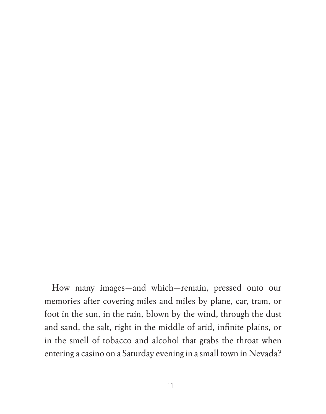How many images—and which—remain, pressed onto our memories after covering miles and miles by plane, car, tram, or foot in the sun, in the rain, blown by the wind, through the dust and sand, the salt, right in the middle of arid, infinite plains, or in the smell of tobacco and alcohol that grabs the throat when entering a casino on a Saturday evening in a small town in Nevada?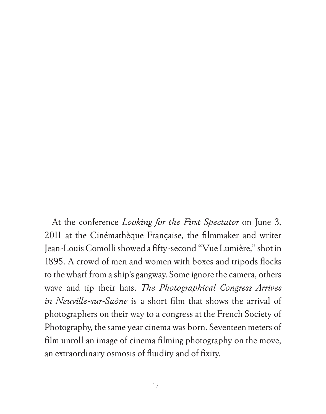At the conference *Looking for the First Spectator* on June 3, 2011 at the Cinémathèque Française, the filmmaker and writer Jean-Louis Comolli showed a fifty-second "Vue Lumière," shot in 1895. A crowd of men and women with boxes and tripods flocks to the wharf from a ship's gangway. Some ignore the camera, others wave and tip their hats. *The Photographical Congress Arrives in Neuville-sur-Saône* is a short film that shows the arrival of photographers on their way to a congress at the French Society of Photography, the same year cinema was born. Seventeen meters of film unroll an image of cinema filming photography on the move, an extraordinary osmosis of fluidity and of fixity.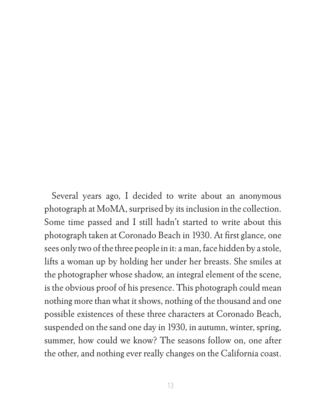Several years ago, I decided to write about an anonymous photograph at MoMA, surprised by its inclusion in the collection. Some time passed and I still hadn't started to write about this photograph taken at Coronado Beach in 1930. At first glance, one sees only two of the three people in it: a man, face hidden by a stole, lifts a woman up by holding her under her breasts. She smiles at the photographer whose shadow, an integral element of the scene, is the obvious proof of his presence. This photograph could mean nothing more than what it shows, nothing of the thousand and one possible existences of these three characters at Coronado Beach, suspended on the sand one day in 1930, in autumn, winter, spring, summer, how could we know? The seasons follow on, one after the other, and nothing ever really changes on the California coast.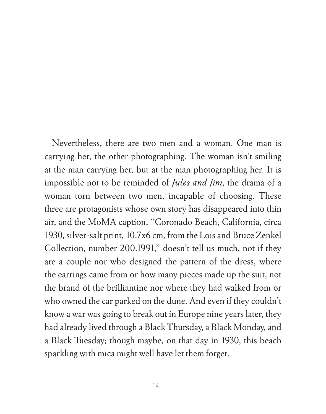Nevertheless, there are two men and a woman. One man is carrying her, the other photographing. The woman isn't smiling at the man carrying her, but at the man photographing her. It is impossible not to be reminded of *Jules and Jim*, the drama of a woman torn between two men, incapable of choosing. These three are protagonists whose own story has disappeared into thin air, and the MoMA caption, "Coronado Beach, California, circa 1930, silver-salt print, 10.7x6 cm, from the Lois and Bruce Zenkel Collection, number 200.1991," doesn't tell us much, not if they are a couple nor who designed the pattern of the dress, where the earrings came from or how many pieces made up the suit, not the brand of the brilliantine nor where they had walked from or who owned the car parked on the dune. And even if they couldn't know a war was going to break out in Europe nine years later, they had already lived through a Black Thursday, a Black Monday, and a Black Tuesday; though maybe, on that day in 1930, this beach sparkling with mica might well have let them forget.